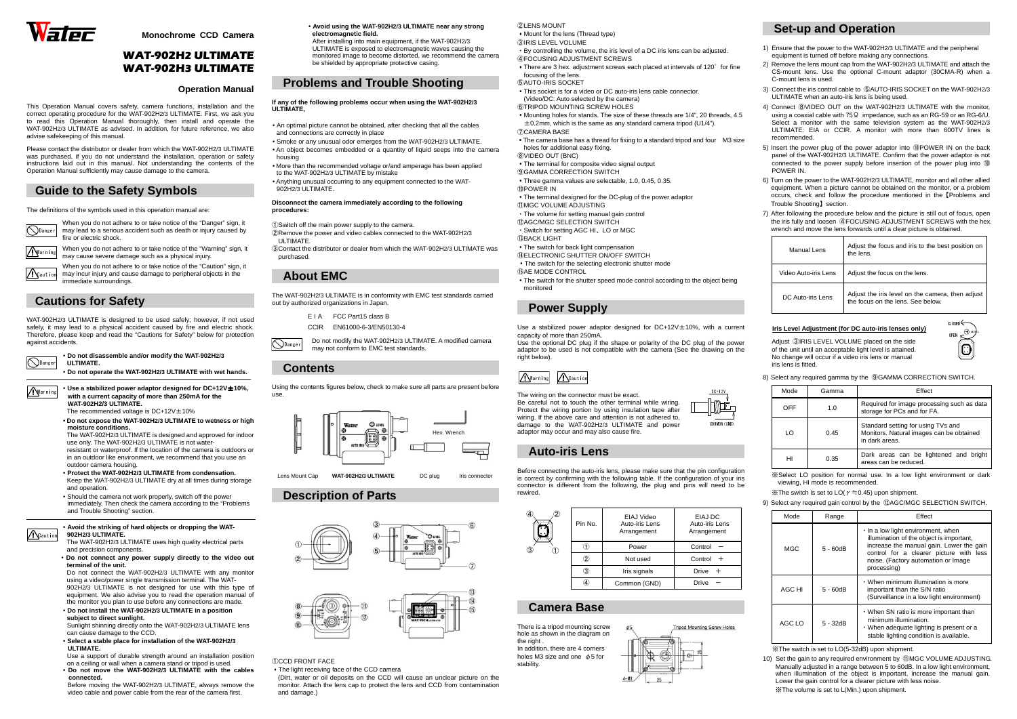





**Monochrome CCD Camera** 

# WAT-902H2 ULTIMATEWAT-902H3 ULTIMATE

#### **Operation Manual**

This Operation Manual covers safety, camera functions, installation and the correct operating procedure for the WAT-902H2/3 ULTIMATE. First, we ask you to read this Operation Manual thoroughly, then install and operate the WAT-902H2/3 ULTIMATE as advised. In addition, for future reference, we also advise safekeeping of this manual.

When you do not adhere to or take notice of the "Danger" sign, it may lead to a serious accident such as death or injury caused by fire or electric shock.

 When you do not adhere to or take notice of the "Caution" sign, it may incur injury and cause damage to peripheral objects in the immediate surroundings. ACaution

 Please contact the distributor or dealer from which the WAT-902H2/3 ULTIMATE was purchased, if you do not understand the installation, operation or safety instructions laid out in this manual. Not understanding the contents of the Operation Manual sufficiently may cause damage to the camera.

# **Guide to the Safety Symbols**

**O**Danger • **Do not disassemble and/or modify the WAT-902H2/3 ULTIMATE.** 

The definitions of the symbols used in this operation manual are:

# **Cautions for Safety**

WAT-902H2/3 ULTIMATE is designed to be used safely; however, if not used safely, it may lead to a physical accident caused by fire and electric shock. Therefore, please keep and read the "Cautions for Safety" below for protection against accidents.

• **Do not operate the WAT-902H2/3 ULTIMATE with wet hands.**

• **Use a stabilized power adaptor designed for DC+12V**±**10%, with a current capacity of more than 250mA for the WAT-902H2/3 ULTIMATE.** 

The recommended voltage is  $DC+12V \pm 10\%$ 

- **Do not expose the WAT-902H2/3 ULTIMATE to wetness or high**
- **moisture conditions.**

 The WAT-902H2/3 ULTIMATE is designed and approved for indoor use only. The WAT-902H2/3 ULTIMATE is not water-

resistant or waterproof. If the location of the camera is outdoors or in an outdoor like environment, we recommend that you use an outdoor camera housing.

- **Protect the WAT-902H2/3 ULTIMATE from condensation.**  Keep the WAT-902H2/3 ULTIMATE dry at all times during storage and operation.
- Should the camera not work properly, switch off the power immediately. Then check the camera according to the "Problems and Trouble Shooting" section.
- E I A  $\overline{C}$  Part15 class B
- CCIR EN61000-6-3/EN50130-4

**O**Danger Do not modify the WAT-902H2/3 ULTIMATE. A modified camera may not conform to EMC test standards.

Using the contents figures below, check to make sure all parts are present before use.  $\frac{1}{2}$  victor statement capillar and  $\frac{D+12V}{2}$  is the set of  $\frac{D+12V}{2}$  with a current capacity of more than 250mA for the use.

#### • **Avoid the striking of hard objects or dropping the WAT-902H2/3 ULTIMATE.**

 The WAT-902H2/3 ULTIMATE uses high quality electrical parts and precision components.

 • **Do not connect any power supply directly to the video out terminal of the unit.**

 Do not connect the WAT-902H2/3 ULTIMATE with any monitor using a video/power single transmission terminal. The WAT-902H2/3 ULTIMATE is not designed for use with this type of equipment. We also advise you to read the operation manual of the monitor you plan to use before any connections are made.

 • **Do not install the WAT-902H2/3 ULTIMATE in a position subject to direct sunlight.** 

 Sunlight shinning directly onto the WAT-902H2/3 ULTIMATE lens can cause damage to the CCD.

⑪MGC VOLUME ADJUSTING ・The volume for setting manual gain control ⑫AGC/MGC SELECTION SWITCH ・Switch for setting AGC HI、LO or MGC **13 BACK LIGHT**  ・The switch for back light compensation **WELECTRONIC SHUTTER ON/OFF SWITCH** 

- **Select a stable place for installation of the WAT-902H2/3 ULTIMATE.**
- Use a support of durable strength around an installation position on a ceiling or wall when a camera stand or tripod is used.
- **Do not move the WAT-902H2/3 ULTIMATE with the cables connected.**
- Before moving the WAT-902H2/3 ULTIMATE, always remove the video cable and power cable from the rear of the camera first.

 Use the optional DC plug if the shape or polarity of the DC plug of the power adaptor to be used is not compatible with the camera (See the drawing on the right below).

 • **Avoid using the WAT-902H2/3 ULTIMATE near any strongelectromagnetic field.** 

 After installing into main equipment, if the WAT-902H2/3 ULTIMATE is exposed to electromagnetic waves causing the monitored image to become distorted, we recommend the camera be shielded by appropriate protective casing.

### **Problems and Trouble Shooting**

**If any of the following problems occur when using the WAT-902H2/3 ULTIMATE,** 

- An optimal picture cannot be obtained, after checking that all the cables and connections are correctly in place
- • Smoke or any unusual odor emerges from the WAT-902H2/3 ULTIMATE. • An object becomes embedded or a quantity of liquid seeps into the camera
- housing
- More than the recommended voltage or/and amperage has been applied to the WAT-902H2/3 ULTIMATE by mistake
- • Anything unusual occurring to any equipment connected to the WAT-902H2/3 ULTIMATE.

#### **Disconnect the camera immediately according to the following procedures:**

①Switch off the main power supply to the camera.

- ②Remove the power and video cables connected to the WAT-902H2/3 ULTIMATE.
- ③Contact the distributor or dealer from which the WAT-902H2/3 ULTIMATE was purchased.

# **About EMC**

The WAT-902H2/3 ULTIMATE is in conformity with EMC test standards carried out by authorized organizations in Japan.

### **Contents**

### **Description of Parts**



- ①CCD FRONT FACE
- ・The light receiving face of the CCD camera

 (Dirt, water or oil deposits on the CCD will cause an unclear picture on the monitor. Attach the lens cap to protect the lens and CCD from contamination and damage.)

#### ②LENS MOUNT ・Mount for the lens (Thread type) ③IRIS LEVEL VOLUME ・By controlling the volume, the iris level of a DC iris lens can be adjusted. ④FOCUSING ADJUSTMENT SCREWS• There are 3 hex. adjustment screws each placed at intervals of 120° for fine focusing of the lens. ⑤AUTO-IRIS SOCKET ・This socket is for a video or DC auto-iris lens cable connector. (Video/DC: Auto selected by the camera) ⑥TRIPOD MOUNTING SCREW HOLES ・Mounting holes for stands. The size of these threads are 1/4", 20 threads, 4.5 $\pm$  0.2mm, which is the same as any standard camera tripod (U1/4"). ⑦CAMERA BASE • The camera base has a thread for fixing to a standard tripod and four M3 size holes for additional easy fixing. ⑧VIDEO OUT (BNC) ・The terminal for composite video signal output ⑨GAMMA CORRECTION SWITCH ・Three gamma values are selectable, 1.0, 0.45, 0.35. ⑩POWER IN ・The terminal designed for the DC-plug of the power adaptor

When you do not adhere to or take notice of the "Warning" sign, it may cause severe damage such as a physical injury. Warning

- ・The switch for the selecting electronic shutter mode
- ⑮AE MODE CONTROL
- ・The switch for the shutter speed mode control according to the object being monitored

# **Power Supply**

Use a stabilized power adaptor designed for DC+12V±10%, with a current capacity of more than 250mA.

 Be careful not to touch the other terminal while wiring. Protect the wiring portion by using insulation tape after wiring. If the above care and attention is not adhered to, damage to the WAT-902H2/3 ULTIMATE and power adaptor may occur and may also cause fire.

### **Auto-iris Lens**

Before connecting the auto-iris lens, please make sure that the pin configuration is correct by confirming with the following table. If the configuration of your iris connector is different from the following, the plug and pins will need to be rewired.



# **Camera Base**

There is a tripod mounting screw hole as shown in the diagram on the right . In addition, there are 4 corners holes M3 size and one  $\not\phi$  5 for stability.



# **Set-up and Operation**

 1) Ensure that the power to the WAT-902H2/3 ULTIMATE and the peripheral equipment is turned off before making any connections.

 2) Remove the lens mount cap from the WAT-902H2/3 ULTIMATE and attach the CS-mount lens. Use the optional C-mount adaptor (30CMA-R) when a C-mount lens is used.



3) Connect the iris control cable to ⑤AUTO-IRIS SOCKET on the WAT-902H2/3 ULTIMATE when an auto-iris lens is being used.

4) Connect ⑧VIDEO OUT on the WAT-902H2/3 ULTIMATE with the monitor, using a coaxial cable with 75 Ω impedance, such as an RG-59 or an RG-6/U. Select a monitor with the same television system as the WAT-902H2/3 ULTIMATE: EIA or CCIR. A monitor with more than 600TV lines is recommended.

5) Insert the power plug of the power adaptor into ⑩POWER IN on the back panel of the WAT-902H2/3 ULTIMATE. Confirm that the power adaptor is not connected to the power supply before insertion of the power plug into ⑩POWER IN.

6) Turn on the power to the WAT-902H2/3 ULTIMATE, monitor and all other allied equipment. When a picture cannot be obtained on the monitor, or a problem occurs, check and follow the procedure mentioned in the【Problems and Trouble Shooting】section.



7) After following the procedure below and the picture is still out of focus, open the iris fully and loosen ④FOCUSING ADJUSTMENT SCREWS with the hex. wrench and move the lens forwards until a clear picture is obtained.

Pin No.EIAJ Video Auto-iris Lens **Arrangement** EIAJ DC Auto-iris Lens Arrangement ① Power Control - $Control +$ ②(2) Not used Control +  $\overline{3}$  Iris signals I Drive + ④Common (GND) Drive  $^{\textcircled{\footnotesize{1}}}$ ②

| Manual Lens          | Adjust the focus and iris to the best position on<br>the lens.                        |
|----------------------|---------------------------------------------------------------------------------------|
| Video Auto-iris Lens | Adjust the focus on the lens.                                                         |
| DC Auto-iris Lens    | Adjust the iris level on the camera, then adjust<br>the focus on the lens. See below. |

#### **Iris Level Adjustment (for DC auto-iris lenses only)**

Adjust ③IRIS LEVEL VOLUME placed on the side of the unit until an acceptable light level is attained. No change will occur if a video iris lens or manual iris lens is fitted.

8) Select any required gamma by the ⑨GAMMA CORRECTION SWITCH.

| Mode | Gamma | Effect                                                                                           |
|------|-------|--------------------------------------------------------------------------------------------------|
| OFF  | 1.0   | Required for image processing such as data<br>storage for PCs and for FA.                        |
| ΙO   | 0.45  | Standard setting for using TVs and<br>Monitors. Natural images can be obtained<br>in dark areas. |
| нı   | 0.35  | Dark areas can be lightened and bright<br>areas can be reduced.                                  |

※Select LO position for normal use. In a low light environment or dark viewing, HI mode is recommended.

 $\overline{\mathcal{X}}$ The switch is set to LO( $\gamma = 0.45$ ) upon shipment.

9) Select any required gain control by the ⑫AGC/MGC SELECTION SWITCH.

| Mode       | Range      | Effect                                                                                                                                                                                                                      |
|------------|------------|-----------------------------------------------------------------------------------------------------------------------------------------------------------------------------------------------------------------------------|
| <b>MGC</b> | $5 - 60dB$ | . In a low light environment, when<br>illumination of the object is important,<br>increase the manual gain. Lower the gain<br>control for a clearer picture with less<br>noise. (Factory automation or Image<br>processing) |
| AGC HI     | $5 - 60dB$ | • When minimum illumination is more<br>important than the S/N ratio<br>(Surveillance in a low light environment)                                                                                                            |
| AGC LO     | 5 - 32dB   | . When SN ratio is more important than<br>minimum illumination.<br>• When adequate lighting is present or a<br>stable lighting condition is available.                                                                      |

※The switch is set to LO(5-32dB) upon shipment.

 10) Set the gain to any required environment by ⑪MGC VOLUME ADJUSTING. Manually adjusted in a range between 5 to 60dB. In a low light environment, when illumination of the object is important, increase the manual gain. Lower the gain control for a clearer picture with less noise.

※The volume is set to L(Min.) upon shipment.

Warning

**A**Caution

# COMMON(GND)

③

④